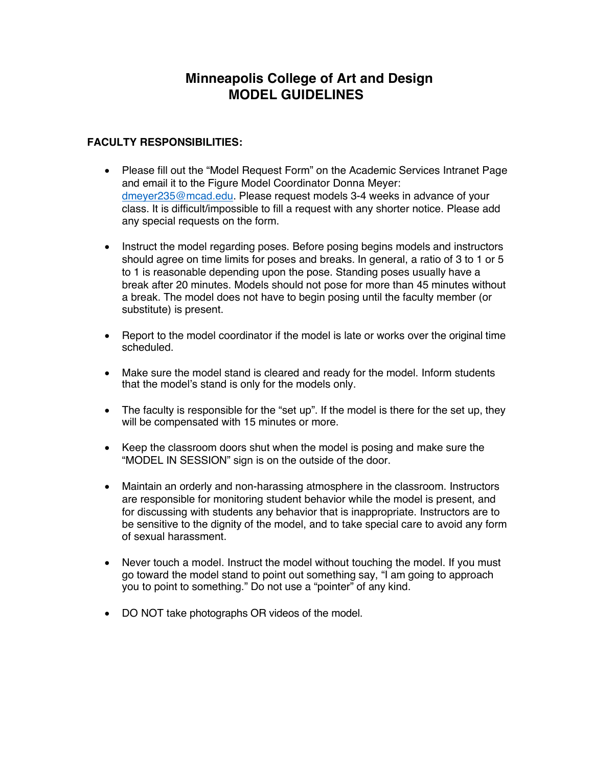## **Minneapolis College of Art and Design MODEL GUIDELINES**

## **FACULTY RESPONSIBILITIES:**

- Please fill out the "Model Request Form" on the Academic Services Intranet Page and email it to the Figure Model Coordinator Donna Meyer: dmeyer235@mcad.edu. Please request models 3-4 weeks in advance of your class. It is difficult/impossible to fill a request with any shorter notice. Please add any special requests on the form.
- Instruct the model regarding poses. Before posing begins models and instructors should agree on time limits for poses and breaks. In general, a ratio of 3 to 1 or 5 to 1 is reasonable depending upon the pose. Standing poses usually have a break after 20 minutes. Models should not pose for more than 45 minutes without a break. The model does not have to begin posing until the faculty member (or substitute) is present.
- Report to the model coordinator if the model is late or works over the original time scheduled.
- Make sure the model stand is cleared and ready for the model. Inform students that the model's stand is only for the models only.
- The faculty is responsible for the "set up". If the model is there for the set up, they will be compensated with 15 minutes or more.
- Keep the classroom doors shut when the model is posing and make sure the "MODEL IN SESSION" sign is on the outside of the door.
- Maintain an orderly and non-harassing atmosphere in the classroom. Instructors are responsible for monitoring student behavior while the model is present, and for discussing with students any behavior that is inappropriate. Instructors are to be sensitive to the dignity of the model, and to take special care to avoid any form of sexual harassment.
- Never touch a model. Instruct the model without touching the model. If you must go toward the model stand to point out something say, "I am going to approach you to point to something." Do not use a "pointer" of any kind.
- DO NOT take photographs OR videos of the model.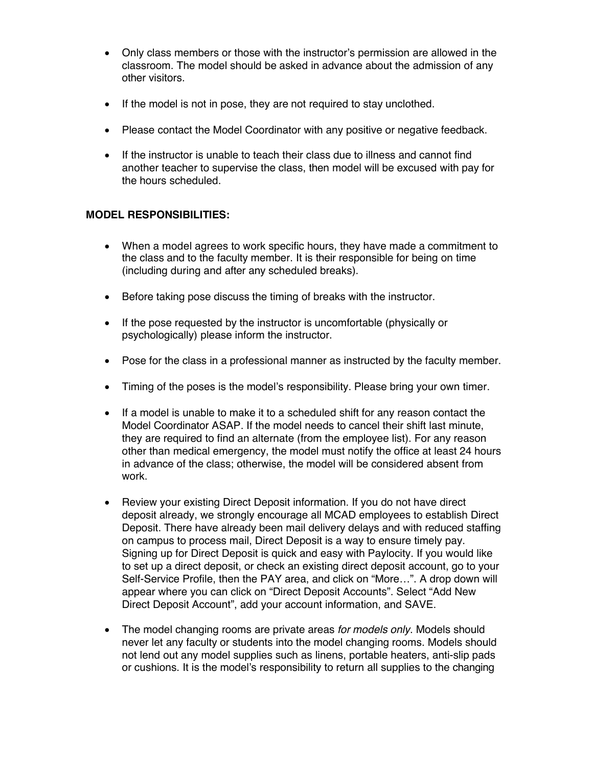- Only class members or those with the instructor's permission are allowed in the classroom. The model should be asked in advance about the admission of any other visitors.
- If the model is not in pose, they are not required to stay unclothed.
- Please contact the Model Coordinator with any positive or negative feedback.
- If the instructor is unable to teach their class due to illness and cannot find another teacher to supervise the class, then model will be excused with pay for the hours scheduled.

## **MODEL RESPONSIBILITIES:**

- When a model agrees to work specific hours, they have made a commitment to the class and to the faculty member. It is their responsible for being on time (including during and after any scheduled breaks).
- Before taking pose discuss the timing of breaks with the instructor.
- If the pose requested by the instructor is uncomfortable (physically or psychologically) please inform the instructor.
- Pose for the class in a professional manner as instructed by the faculty member.
- Timing of the poses is the model's responsibility. Please bring your own timer.
- If a model is unable to make it to a scheduled shift for any reason contact the Model Coordinator ASAP. If the model needs to cancel their shift last minute, they are required to find an alternate (from the employee list). For any reason other than medical emergency, the model must notify the office at least 24 hours in advance of the class; otherwise, the model will be considered absent from work.
- Review your existing Direct Deposit information. If you do not have direct deposit already, we strongly encourage all MCAD employees to establish Direct Deposit. There have already been mail delivery delays and with reduced staffing on campus to process mail, Direct Deposit is a way to ensure timely pay. Signing up for Direct Deposit is quick and easy with Paylocity. If you would like to set up a direct deposit, or check an existing direct deposit account, go to your Self-Service Profile, then the PAY area, and click on "More…". A drop down will appear where you can click on "Direct Deposit Accounts". Select "Add New Direct Deposit Account", add your account information, and SAVE.
- The model changing rooms are private areas *for models only*. Models should never let any faculty or students into the model changing rooms. Models should not lend out any model supplies such as linens, portable heaters, anti-slip pads or cushions. It is the model's responsibility to return all supplies to the changing